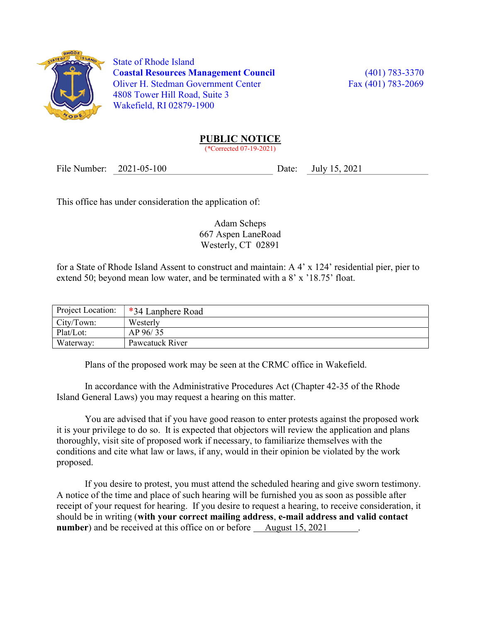

 State of Rhode Island Coastal Resources Management Council (401) 783-3370 Oliver H. Stedman Government Center Fax (401) 783-2069 4808 Tower Hill Road, Suite 3 Wakefield, RI 02879-1900

## PUBLIC NOTICE

(\*Corrected 07-19-2021)

File Number: 2021-05-100 Date: July 15, 2021

This office has under consideration the application of:

Adam Scheps 667 Aspen LaneRoad Westerly, CT 02891

for a State of Rhode Island Assent to construct and maintain: A 4' x 124' residential pier, pier to extend 50; beyond mean low water, and be terminated with a 8' x '18.75' float.

| Project Location: | *34 Lanphere Road |
|-------------------|-------------------|
| City/Town:        | Westerly          |
| Plat/Lot:         | AP 96/35          |
| Waterway:         | Pawcatuck River   |

Plans of the proposed work may be seen at the CRMC office in Wakefield.

In accordance with the Administrative Procedures Act (Chapter 42-35 of the Rhode Island General Laws) you may request a hearing on this matter.

You are advised that if you have good reason to enter protests against the proposed work it is your privilege to do so. It is expected that objectors will review the application and plans thoroughly, visit site of proposed work if necessary, to familiarize themselves with the conditions and cite what law or laws, if any, would in their opinion be violated by the work proposed.

If you desire to protest, you must attend the scheduled hearing and give sworn testimony. A notice of the time and place of such hearing will be furnished you as soon as possible after receipt of your request for hearing. If you desire to request a hearing, to receive consideration, it should be in writing (with your correct mailing address, e-mail address and valid contact number) and be received at this office on or before August 15, 2021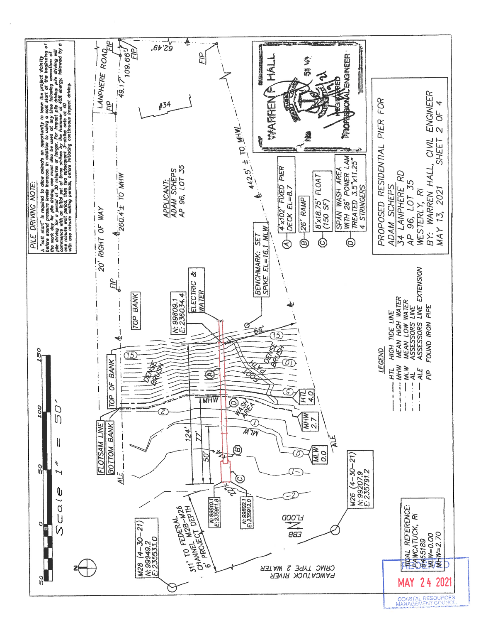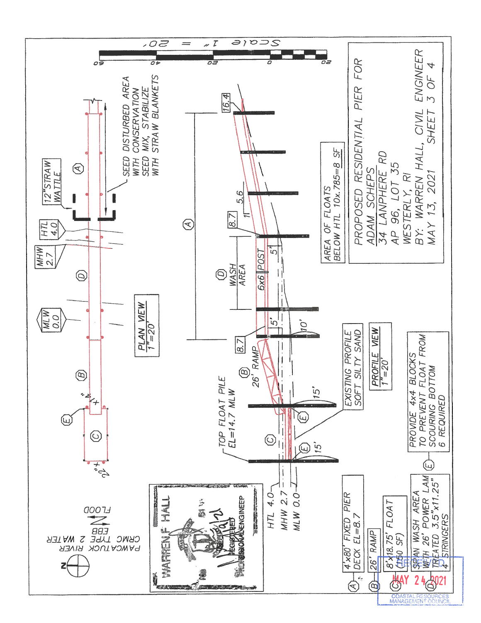